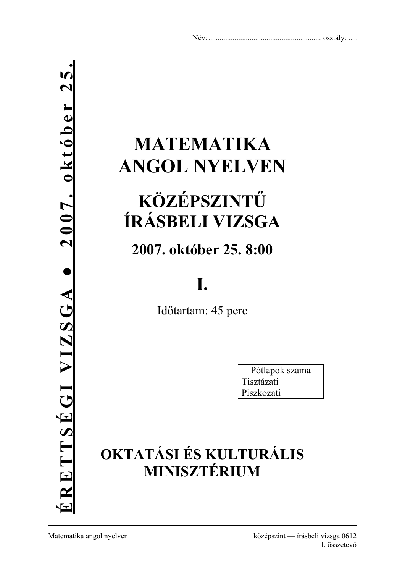# **MATEMATIKA ANGOL NYELVEN**

# **KÖZÉPSZINTŰ ÍRÁSBELI VIZSGA**

## **2007. október 25. 8:00**

## **I.**

Időtartam: 45 perc

| Pótlapok száma |  |
|----------------|--|
| Tisztázati     |  |
| Piszkozati     |  |

## **OKTATÁSI ÉS KULTURÁLIS MINISZTÉRIUM**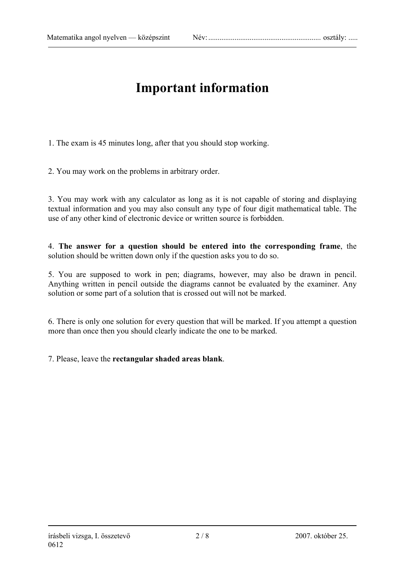### **Important information**

1. The exam is 45 minutes long, after that you should stop working.

2. You may work on the problems in arbitrary order.

3. You may work with any calculator as long as it is not capable of storing and displaying textual information and you may also consult any type of four digit mathematical table. The use of any other kind of electronic device or written source is forbidden.

4. **The answer for a question should be entered into the corresponding frame**, the solution should be written down only if the question asks you to do so.

5. You are supposed to work in pen; diagrams, however, may also be drawn in pencil. Anything written in pencil outside the diagrams cannot be evaluated by the examiner. Any solution or some part of a solution that is crossed out will not be marked.

6. There is only one solution for every question that will be marked. If you attempt a question more than once then you should clearly indicate the one to be marked.

7. Please, leave the **rectangular shaded areas blank**.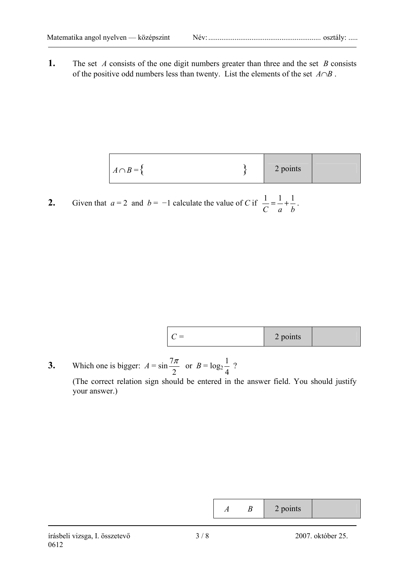**1.** The set *A* consists of the one digit numbers greater than three and the set *B* consists of the positive odd numbers less than twenty. List the elements of the set *A*∩*B* .

| $A \cap B = \{$ | 2 points |  |
|-----------------|----------|--|

**2.** Given that  $a = 2$  and  $b = -1$  calculate the value of *C* if *C a b*  $\frac{1}{2} = \frac{1}{1} + \frac{1}{1}$ .

| points<br>$=$<br>$\sim$ |  |
|-------------------------|--|
|-------------------------|--|

**3.** Which one is bigger:  $A = \sin A$ 2  $rac{7\pi}{2}$  or  $B = \log_2$ 4  $\frac{1}{2}$  ?

 (The correct relation sign should be entered in the answer field. You should justify your answer.)

|  | . noints<br>pomo<br>- |  |
|--|-----------------------|--|
|--|-----------------------|--|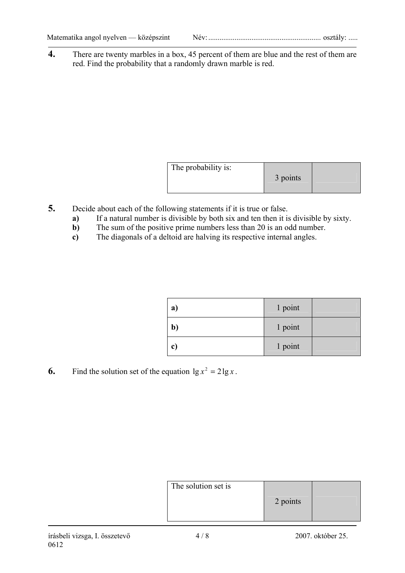**4.** There are twenty marbles in a box, 45 percent of them are blue and the rest of them are red. Find the probability that a randomly drawn marble is red.

| The probability is: | 3 points |  |
|---------------------|----------|--|
|---------------------|----------|--|

- **5.** Decide about each of the following statements if it is true or false.
	- **a)** If a natural number is divisible by both six and ten then it is divisible by sixty.
	- **b**) The sum of the positive prime numbers less than 20 is an odd number.
	- **c)** The diagonals of a deltoid are halving its respective internal angles.

| a)           | 1 point |  |
|--------------|---------|--|
| $\mathbf{b}$ | 1 point |  |
| $\mathbf{c}$ | 1 point |  |

**6.** Find the solution set of the equation  $\lg x^2 = 2 \lg x$ .

| The solution set is | 2 points |  |
|---------------------|----------|--|
|---------------------|----------|--|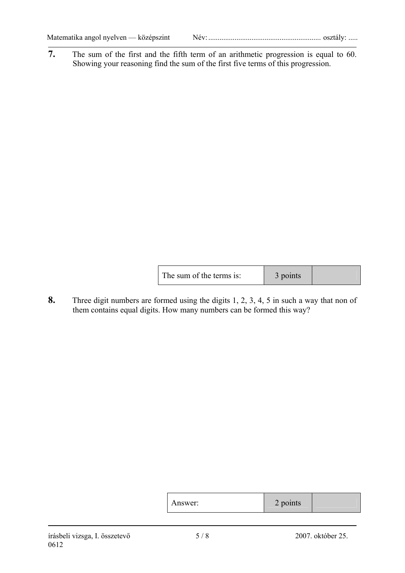**7.** The sum of the first and the fifth term of an arithmetic progression is equal to 60. Showing your reasoning find the sum of the first five terms of this progression.

| The sum of the terms is: | 3 points |  |
|--------------------------|----------|--|
|                          |          |  |

**8.** Three digit numbers are formed using the digits 1, 2, 3, 4, 5 in such a way that non of them contains equal digits. How many numbers can be formed this way?

| Answer: | $\bullet$<br>$\sim$<br>$\angle$ points |  |
|---------|----------------------------------------|--|
|         |                                        |  |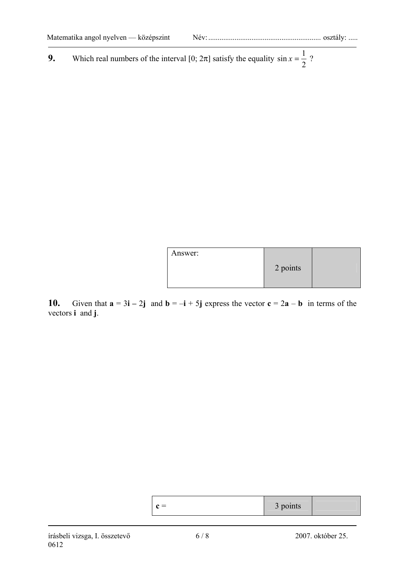**9.** Which real numbers of the interval [0;  $2\pi$ ] satisfy the equality  $\sin x = \frac{1}{2}$ ?

| Answer: |          |  |
|---------|----------|--|
|         | 2 points |  |
|         |          |  |

**10.** Given that  $\mathbf{a} = 3\mathbf{i} - 2\mathbf{j}$  and  $\mathbf{b} = -\mathbf{i} + 5\mathbf{j}$  express the vector  $\mathbf{c} = 2\mathbf{a} - \mathbf{b}$  in terms of the vectors **i** and **j**.

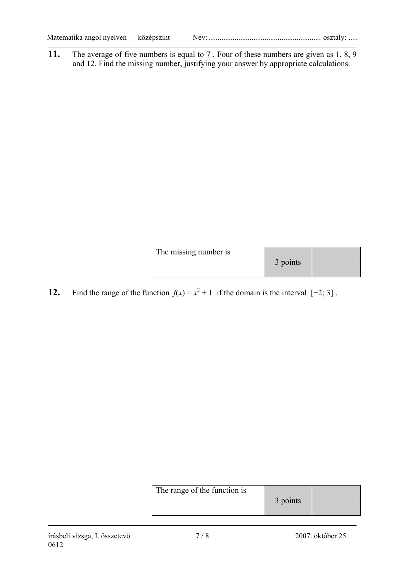|--|--|

**11.** The average of five numbers is equal to 7. Four of these numbers are given as 1, 8, 9 and 12. Find the missing number, justifying your answer by appropriate calculations.

| The missing number is | 3 points |  |
|-----------------------|----------|--|
|                       |          |  |

**12.** Find the range of the function  $f(x) = x^2 + 1$  if the domain is the interval [−2; 3].

| The range of the function is | 3 points |  |
|------------------------------|----------|--|
|------------------------------|----------|--|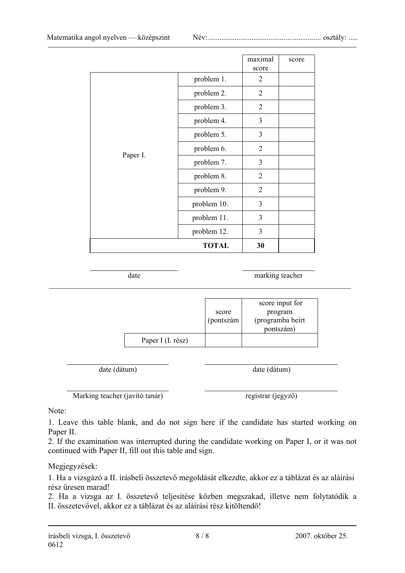|          |              | maximal<br>score | score |
|----------|--------------|------------------|-------|
|          | problem 1.   | $\overline{2}$   |       |
|          | problem 2.   | $\overline{2}$   |       |
|          | problem 3.   | $\overline{2}$   |       |
|          | problem 4.   | 3                |       |
|          | problem 5.   | 3                |       |
|          | problem 6.   | $\overline{2}$   |       |
| Paper I. | problem 7.   | 3                |       |
|          | problem 8.   | $\overline{2}$   |       |
|          | problem 9.   | $\overline{2}$   |       |
|          | problem 10.  | 3                |       |
|          | problem 11.  | $\overline{3}$   |       |
|          | problem 12.  | 3                |       |
|          | <b>TOTAL</b> | 30               |       |

date marking teacher

|                   | score<br>(pontszám | score input for<br>program<br>(programba beírt<br>pontszám) |
|-------------------|--------------------|-------------------------------------------------------------|
| Paper I (I. rész) |                    |                                                             |

 $\_$  , and the contribution of the contribution of  $\mathcal{L}_\mathcal{A}$  , and the contribution of  $\mathcal{L}_\mathcal{A}$ 

date (dátum) date (dátum)

Marking teacher (javító tanár) registrar (jegyző)

Note:

1. Leave this table blank, and do not sign here if the candidate has started working on Paper II.

2. If the examination was interrupted during the candidate working on Paper I, or it was not continued with Paper II, fill out this table and sign.

Megjegyzések:

1. Ha a vizsgázó a II. írásbeli összetevő megoldását elkezdte, akkor ez a táblázat és az aláírási rész üresen marad!

2. Ha a vizsga az I. összetevő teljesítése közben megszakad, illetve nem folytatódik a II. összetevővel, akkor ez a táblázat és az aláírási rész kitöltendő!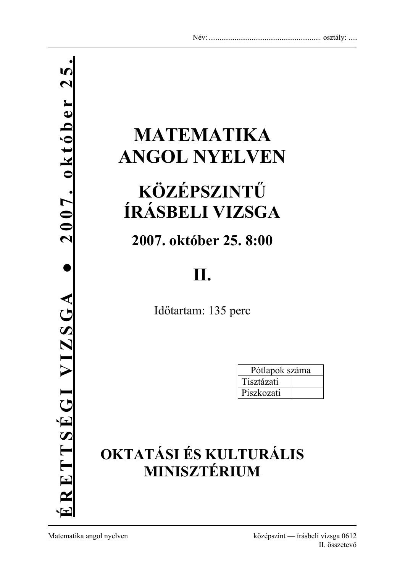# **MATEMATIKA ANGOL NYELVEN**

## **KÖZÉPSZINTŰ ÍRÁSBELI VIZSGA**

**2007. október 25. 8:00** 

## **II.**

Időtartam: 135 perc

| Pótlapok száma |  |  |
|----------------|--|--|
| Tisztázati     |  |  |
| Piszkozati     |  |  |

## **OKTATÁSI ÉS KULTURÁLIS MINISZTÉRIUM**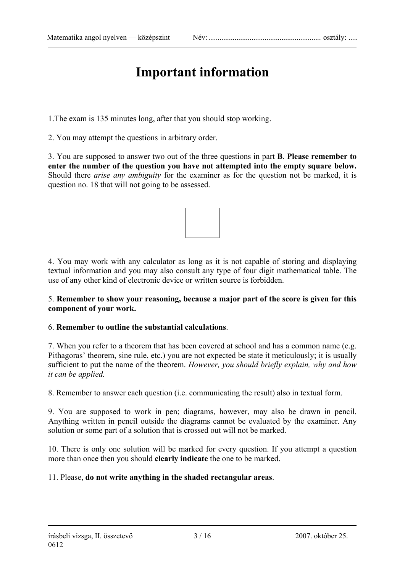### **Important information**

1.The exam is 135 minutes long, after that you should stop working.

2. You may attempt the questions in arbitrary order.

3. You are supposed to answer two out of the three questions in part **B**. **Please remember to enter the number of the question you have not attempted into the empty square below.**  Should there *arise any ambiguity* for the examiner as for the question not be marked, it is question no. 18 that will not going to be assessed.



4. You may work with any calculator as long as it is not capable of storing and displaying textual information and you may also consult any type of four digit mathematical table. The use of any other kind of electronic device or written source is forbidden.

### 5. **Remember to show your reasoning, because a major part of the score is given for this component of your work.**

### 6. **Remember to outline the substantial calculations**.

7. When you refer to a theorem that has been covered at school and has a common name (e.g. Pithagoras' theorem, sine rule, etc.) you are not expected be state it meticulously; it is usually sufficient to put the name of the theorem. *However, you should briefly explain, why and how it can be applied.* 

8. Remember to answer each question (i.e. communicating the result) also in textual form.

9. You are supposed to work in pen; diagrams, however, may also be drawn in pencil. Anything written in pencil outside the diagrams cannot be evaluated by the examiner. Any solution or some part of a solution that is crossed out will not be marked.

10. There is only one solution will be marked for every question. If you attempt a question more than once then you should **clearly indicate** the one to be marked.

### 11. Please, **do not write anything in the shaded rectangular areas**.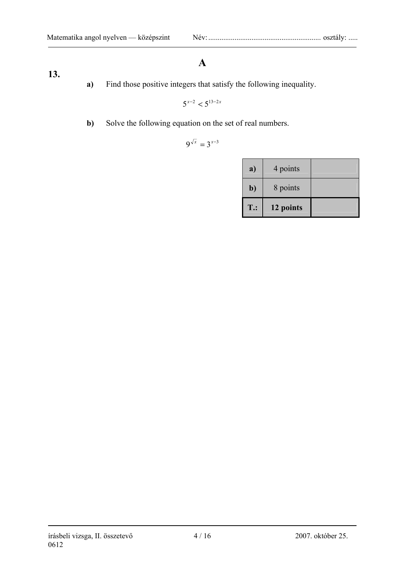### **A**

- **13.**
- **a)** Find those positive integers that satisfy the following inequality.

 $5^{x-2}$  <  $5^{13-2x}$ 

**b**) Solve the following equation on the set of real numbers.

$$
9^{\sqrt{x}}=3^{x-3}
$$

| a)           | 4 points  |  |
|--------------|-----------|--|
| $\mathbf{b}$ | 8 points  |  |
| $T$ .:       | 12 points |  |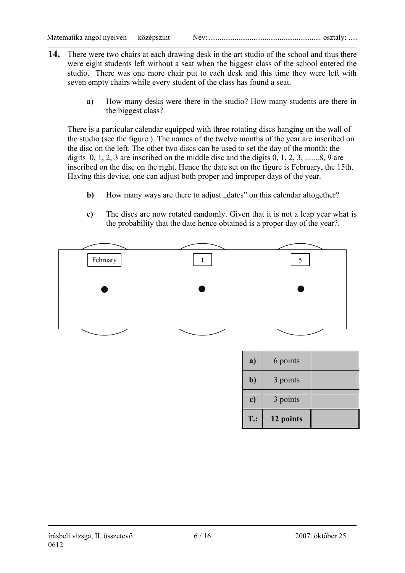- **14.** There were two chairs at each drawing desk in the art studio of the school and thus there were eight students left without a seat when the biggest class of the school entered the studio. There was one more chair put to each desk and this time they were left with seven empty chairs while every student of the class has found a seat.
	- **a)** How many desks were there in the studio? How many students are there in the biggest class?

There is a particular calendar equipped with three rotating discs hanging on the wall of the studio (see the figure ). The names of the twelve months of the year are inscribed on the disc on the left. The other two discs can be used to set the day of the month: the digits  $0, 1, 2, 3$  are inscribed on the middle disc and the digits  $0, 1, 2, 3, \ldots, 8, 9$  are inscribed on the disc on the right. Hence the date set on the figure is February, the 15th. Having this device, one can adjust both proper and improper days of the year.

- **b**) How many ways are there to adjust "dates" on this calendar altogether?
- **c)** The discs are now rotated randomly. Given that it is not a leap year what is the probability that the date hence obtained is a proper day of the year?.



| a)           | 6 points  |  |
|--------------|-----------|--|
| $\mathbf{b}$ | 3 points  |  |
| c)           | 3 points  |  |
| $T$ .:       | 12 points |  |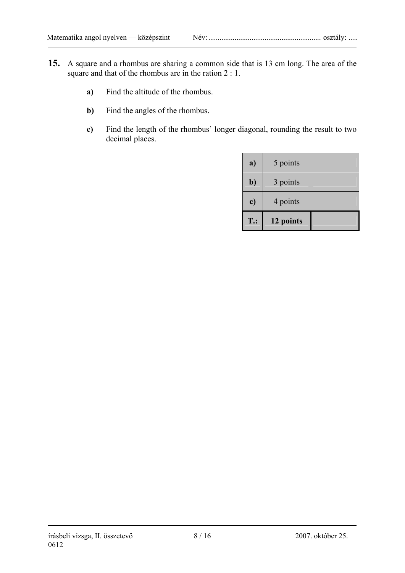- **15.** A square and a rhombus are sharing a common side that is 13 cm long. The area of the square and that of the rhombus are in the ration 2 : 1.
	- **a)** Find the altitude of the rhombus.
	- **b**) Find the angles of the rhombus.
	- **c)** Find the length of the rhombus' longer diagonal, rounding the result to two decimal places.

| a)           | 5 points  |  |
|--------------|-----------|--|
| $\mathbf{b}$ | 3 points  |  |
| c)           | 4 points  |  |
| <b>T.:</b>   | 12 points |  |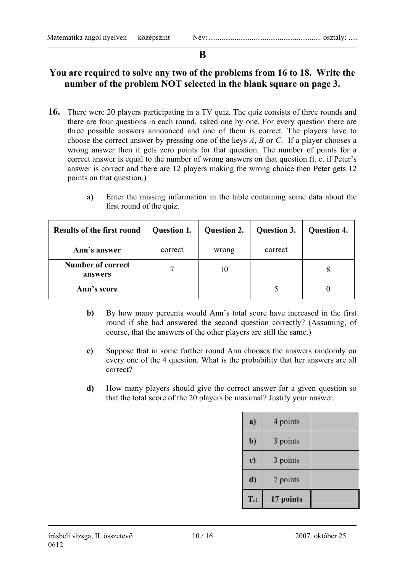### **B**

### **You are required to solve any two of the problems from 16 to 18. Write the number of the problem NOT selected in the blank square on page 3.**

- **16.** There were 20 players participating in a TV quiz. The quiz consists of three rounds and there are four questions in each round, asked one by one. For every question there are three possible answers announced and one of them is correct. The players have to choose the correct answer by pressing one of the keys *A*, *B* or *C*. If a player chooses a wrong answer then it gets zero points for that question. The number of points for a correct answer is equal to the number of wrong answers on that question (i. e. if Peter's answer is correct and there are 12 players making the wrong choice then Peter gets 12 points on that question.)
	- **a)** Enter the missing information in the table containing some data about the first round of the quiz.

| <b>Results of the first round</b>   | <b>Question 1.</b> | <b>Question 2.</b> | Question 3. | <b>Question 4.</b> |
|-------------------------------------|--------------------|--------------------|-------------|--------------------|
| Ann's answer                        | correct            | wrong              | correct     |                    |
| <b>Number of correct</b><br>answers |                    | 10                 |             | 8                  |
| Ann's score                         |                    |                    |             |                    |

- **b)** By how many percents would Ann's total score have increased in the first round if she had answered the second question correctly? (Assuming, of course, that the answers of the other players are still the same.)
- **c)** Suppose that in some further round Ann chooses the answers randomly on every one of the 4 question. What is the probability that her answers are all correct?
- **d)** How many players should give the correct answer for a given question so that the total score of the 20 players be maximal? Justify your answer.

| a)     | 4 points  |  |
|--------|-----------|--|
| b)     | 3 points  |  |
| c)     | 3 points  |  |
| d)     | 7 points  |  |
| $T$ .: | 17 points |  |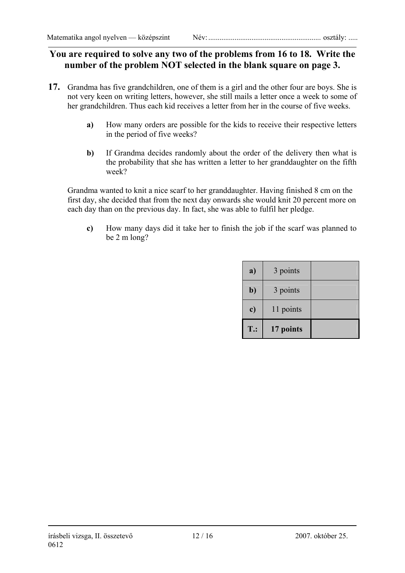### **You are required to solve any two of the problems from 16 to 18. Write the number of the problem NOT selected in the blank square on page 3.**

- **17.** Grandma has five grandchildren, one of them is a girl and the other four are boys. She is not very keen on writing letters, however, she still mails a letter once a week to some of her grandchildren. Thus each kid receives a letter from her in the course of five weeks.
	- **a)** How many orders are possible for the kids to receive their respective letters in the period of five weeks?
	- **b)** If Grandma decides randomly about the order of the delivery then what is the probability that she has written a letter to her granddaughter on the fifth week?

Grandma wanted to knit a nice scarf to her granddaughter. Having finished 8 cm on the first day, she decided that from the next day onwards she would knit 20 percent more on each day than on the previous day. In fact, she was able to fulfil her pledge.

**c)** How many days did it take her to finish the job if the scarf was planned to be 2 m long?

| a)            | 3 points  |  |
|---------------|-----------|--|
| b)            | 3 points  |  |
| $\mathbf{c})$ | 11 points |  |
| $T$ .:        | 17 points |  |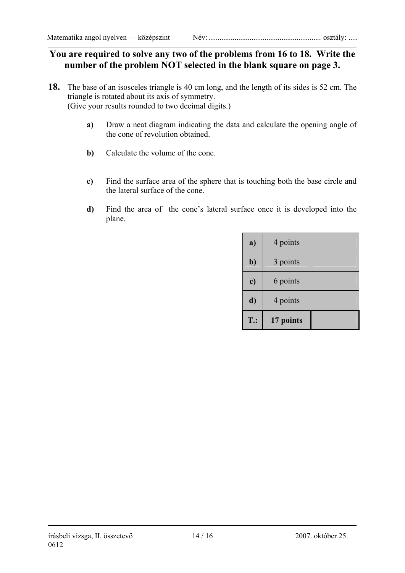### **You are required to solve any two of the problems from 16 to 18. Write the number of the problem NOT selected in the blank square on page 3.**

- **18.** The base of an isosceles triangle is 40 cm long, and the length of its sides is 52 cm. The triangle is rotated about its axis of symmetry. (Give your results rounded to two decimal digits.)
	- **a)** Draw a neat diagram indicating the data and calculate the opening angle of the cone of revolution obtained.
	- **b)** Calculate the volume of the cone.
	- **c)** Find the surface area of the sphere that is touching both the base circle and the lateral surface of the cone.
	- **d)** Find the area of the cone's lateral surface once it is developed into the plane.

| a)     | 4 points  |  |
|--------|-----------|--|
| $b$    | 3 points  |  |
| c)     | 6 points  |  |
| d)     | 4 points  |  |
| $T$ .: | 17 points |  |